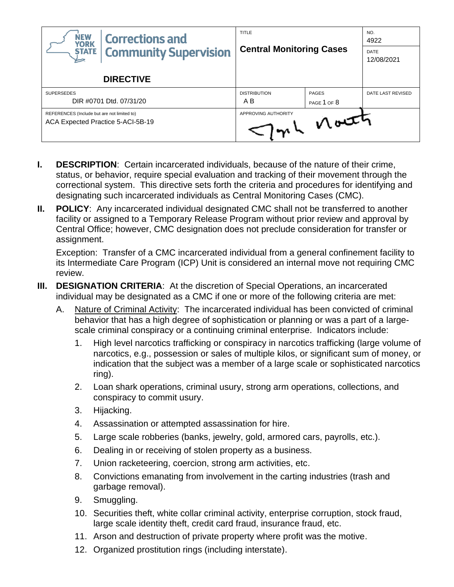| <b>NEW</b><br><b>Corrections and</b><br><b>YORK</b>                              | <b>TITLE</b><br><b>Central Monitoring Cases</b> |                 | NO.<br>4922        |
|----------------------------------------------------------------------------------|-------------------------------------------------|-----------------|--------------------|
| <b>Community Supervision</b><br><b>STATE</b>                                     |                                                 |                 | DATE<br>12/08/2021 |
| <b>DIRECTIVE</b>                                                                 |                                                 |                 |                    |
| <b>SUPERSEDES</b>                                                                | <b>DISTRIBUTION</b>                             | <b>PAGES</b>    | DATE LAST REVISED  |
| DIR #0701 Dtd. 07/31/20                                                          | A B                                             | PAGE 1 OF 8     |                    |
| REFERENCES (Include but are not limited to)<br>ACA Expected Practice 5-ACI-5B-19 | APPROVING AUTHORITY                             | $V$ out $\hbar$ |                    |

- **I. DESCRIPTION**: Certain incarcerated individuals, because of the nature of their crime, status, or behavior, require special evaluation and tracking of their movement through the correctional system. This directive sets forth the criteria and procedures for identifying and designating such incarcerated individuals as Central Monitoring Cases (CMC).
- **II. POLICY**: Any incarcerated individual designated CMC shall not be transferred to another facility or assigned to a Temporary Release Program without prior review and approval by Central Office; however, CMC designation does not preclude consideration for transfer or assignment.

Exception: Transfer of a CMC incarcerated individual from a general confinement facility to its Intermediate Care Program (ICP) Unit is considered an internal move not requiring CMC review.

- **III. DESIGNATION CRITERIA:** At the discretion of Special Operations, an incarcerated individual may be designated as a CMC if one or more of the following criteria are met:
	- A. Nature of Criminal Activity: The incarcerated individual has been convicted of criminal behavior that has a high degree of sophistication or planning or was a part of a largescale criminal conspiracy or a continuing criminal enterprise. Indicators include:
		- 1. High level narcotics trafficking or conspiracy in narcotics trafficking (large volume of narcotics, e.g., possession or sales of multiple kilos, or significant sum of money, or indication that the subject was a member of a large scale or sophisticated narcotics ring).
		- 2. Loan shark operations, criminal usury, strong arm operations, collections, and conspiracy to commit usury.
		- 3. Hijacking.
		- 4. Assassination or attempted assassination for hire.
		- 5. Large scale robberies (banks, jewelry, gold, armored cars, payrolls, etc.).
		- 6. Dealing in or receiving of stolen property as a business.
		- 7. Union racketeering, coercion, strong arm activities, etc.
		- 8. Convictions emanating from involvement in the carting industries (trash and garbage removal).
		- 9. Smuggling.
		- 10. Securities theft, white collar criminal activity, enterprise corruption, stock fraud, large scale identity theft, credit card fraud, insurance fraud, etc.
		- 11. Arson and destruction of private property where profit was the motive.
		- 12. Organized prostitution rings (including interstate).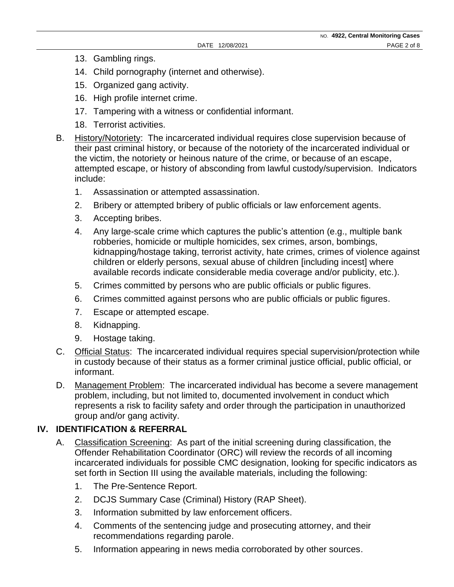- 13. Gambling rings.
- 14. Child pornography (internet and otherwise).
- 15. Organized gang activity.
- 16. High profile internet crime.
- 17. Tampering with a witness or confidential informant.
- 18. Terrorist activities.
- B. History/Notoriety: The incarcerated individual requires close supervision because of their past criminal history, or because of the notoriety of the incarcerated individual or the victim, the notoriety or heinous nature of the crime, or because of an escape, attempted escape, or history of absconding from lawful custody/supervision. Indicators include:
	- 1. Assassination or attempted assassination.
	- 2. Bribery or attempted bribery of public officials or law enforcement agents.
	- 3. Accepting bribes.
	- 4. Any large-scale crime which captures the public's attention (e.g., multiple bank robberies, homicide or multiple homicides, sex crimes, arson, bombings, kidnapping/hostage taking, terrorist activity, hate crimes, crimes of violence against children or elderly persons, sexual abuse of children [including incest] where available records indicate considerable media coverage and/or publicity, etc.).
	- 5. Crimes committed by persons who are public officials or public figures.
	- 6. Crimes committed against persons who are public officials or public figures.
	- 7. Escape or attempted escape.
	- 8. Kidnapping.
	- 9. Hostage taking.
- C. Official Status: The incarcerated individual requires special supervision/protection while in custody because of their status as a former criminal justice official, public official, or informant.
- D. Management Problem: The incarcerated individual has become a severe management problem, including, but not limited to, documented involvement in conduct which represents a risk to facility safety and order through the participation in unauthorized group and/or gang activity.

#### **IV. IDENTIFICATION & REFERRAL**

- A. Classification Screening: As part of the initial screening during classification, the Offender Rehabilitation Coordinator (ORC) will review the records of all incoming incarcerated individuals for possible CMC designation, looking for specific indicators as set forth in Section III using the available materials, including the following:
	- 1. The Pre-Sentence Report.
	- 2. DCJS Summary Case (Criminal) History (RAP Sheet).
	- 3. Information submitted by law enforcement officers.
	- 4. Comments of the sentencing judge and prosecuting attorney, and their recommendations regarding parole.
	- 5. Information appearing in news media corroborated by other sources.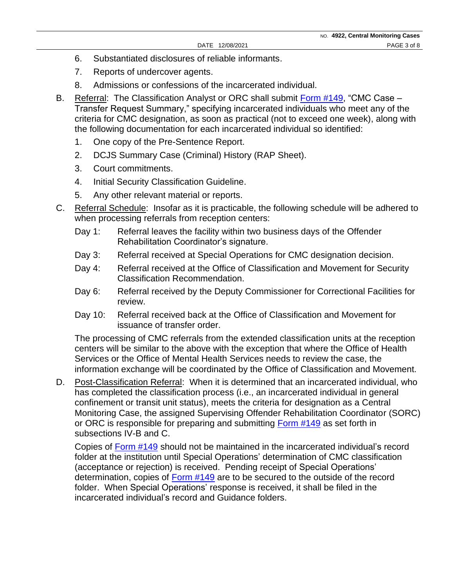- 6. Substantiated disclosures of reliable informants.
- 7. Reports of undercover agents.
- 8. Admissions or confessions of the incarcerated individual.
- B. Referral: The Classification Analyst or ORC shall submit [Form #149,](https://doccs.ny.gov/directives/frm149.pdf) "CMC Case Transfer Request Summary," specifying incarcerated individuals who meet any of the criteria for CMC designation, as soon as practical (not to exceed one week), along with the following documentation for each incarcerated individual so identified:
	- 1. One copy of the Pre-Sentence Report.
	- 2. DCJS Summary Case (Criminal) History (RAP Sheet).
	- 3. Court commitments.
	- 4. Initial Security Classification Guideline.
	- 5. Any other relevant material or reports.
- C. Referral Schedule: Insofar as it is practicable, the following schedule will be adhered to when processing referrals from reception centers:
	- Day 1: Referral leaves the facility within two business days of the Offender Rehabilitation Coordinator's signature.
	- Day 3: Referral received at Special Operations for CMC designation decision.
	- Day 4: Referral received at the Office of Classification and Movement for Security Classification Recommendation.
	- Day 6: Referral received by the Deputy Commissioner for Correctional Facilities for review.
	- Day 10: Referral received back at the Office of Classification and Movement for issuance of transfer order.

The processing of CMC referrals from the extended classification units at the reception centers will be similar to the above with the exception that where the Office of Health Services or the Office of Mental Health Services needs to review the case, the information exchange will be coordinated by the Office of Classification and Movement.

D. Post-Classification Referral: When it is determined that an incarcerated individual, who has completed the classification process (i.e., an incarcerated individual in general confinement or transit unit status), meets the criteria for designation as a Central Monitoring Case, the assigned Supervising Offender Rehabilitation Coordinator (SORC) or ORC is responsible for preparing and submitting [Form](https://doccs.ny.gov/directives/frm149.pdf) #149 as set forth in subsections IV-B and C.

Copies of [Form #149](https://doccs.ny.gov/directives/frm149.pdf) should not be maintained in the incarcerated individual's record folder at the institution until Special Operations' determination of CMC classification (acceptance or rejection) is received. Pending receipt of Special Operations' determination, copies of [Form #149](https://doccs.ny.gov/directives/frm149.pdf) are to be secured to the outside of the record folder. When Special Operations' response is received, it shall be filed in the incarcerated individual's record and Guidance folders.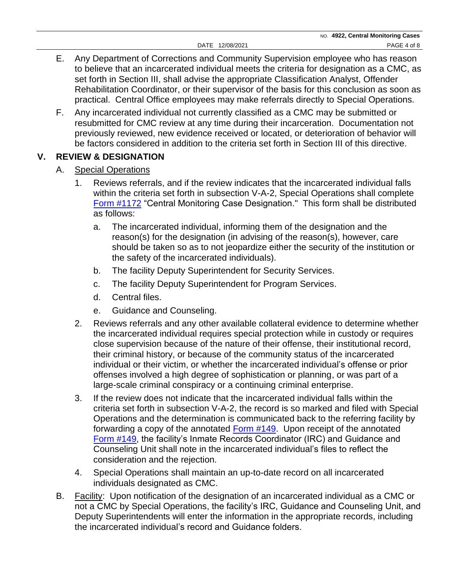- E. Any Department of Corrections and Community Supervision employee who has reason to believe that an incarcerated individual meets the criteria for designation as a CMC, as set forth in Section III, shall advise the appropriate Classification Analyst, Offender Rehabilitation Coordinator, or their supervisor of the basis for this conclusion as soon as practical. Central Office employees may make referrals directly to Special Operations.
- F. Any incarcerated individual not currently classified as a CMC may be submitted or resubmitted for CMC review at any time during their incarceration. Documentation not previously reviewed, new evidence received or located, or deterioration of behavior will be factors considered in addition to the criteria set forth in Section III of this directive.

## **V. REVIEW & DESIGNATION**

- A. Special Operations
	- 1. Reviews referrals, and if the review indicates that the incarcerated individual falls within the criteria set forth in subsection V-A-2, Special Operations shall complete [Form #1172](https://doccs.ny.gov/directives/Frm1172.pdf) "Central Monitoring Case Designation." This form shall be distributed as follows:
		- a. The incarcerated individual, informing them of the designation and the reason(s) for the designation (in advising of the reason(s), however, care should be taken so as to not jeopardize either the security of the institution or the safety of the incarcerated individuals).
		- b. The facility Deputy Superintendent for Security Services.
		- c. The facility Deputy Superintendent for Program Services.
		- d. Central files.
		- e. Guidance and Counseling.
	- 2. Reviews referrals and any other available collateral evidence to determine whether the incarcerated individual requires special protection while in custody or requires close supervision because of the nature of their offense, their institutional record, their criminal history, or because of the community status of the incarcerated individual or their victim, or whether the incarcerated individual's offense or prior offenses involved a high degree of sophistication or planning, or was part of a large-scale criminal conspiracy or a continuing criminal enterprise.
	- 3. If the review does not indicate that the incarcerated individual falls within the criteria set forth in subsection V-A-2, the record is so marked and filed with Special Operations and the determination is communicated back to the referring facility by forwarding a copy of the annotated [Form #149.](https://doccs.ny.gov/directives/frm149.pdf) Upon receipt of the annotated [Form #149,](https://doccs.ny.gov/directives/frm149.pdf) the facility's Inmate Records Coordinator (IRC) and Guidance and Counseling Unit shall note in the incarcerated individual's files to reflect the consideration and the rejection.
	- 4. Special Operations shall maintain an up-to-date record on all incarcerated individuals designated as CMC.
- B. Facility: Upon notification of the designation of an incarcerated individual as a CMC or not a CMC by Special Operations, the facility's IRC, Guidance and Counseling Unit, and Deputy Superintendents will enter the information in the appropriate records, including the incarcerated individual's record and Guidance folders.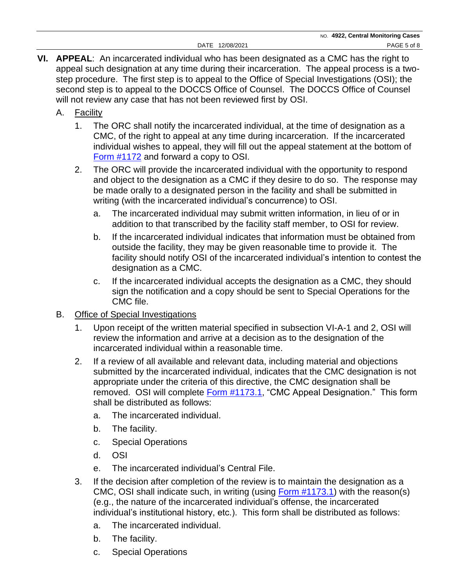- **VI. APPEAL**:An incarcerated ind**i**vidual who has been designated as a CMC has the right to appeal such designation at any time during their incarceration. The appeal process is a twostep procedure. The first step is to appeal to the Office of Special Investigations (OSI); the second step is to appeal to the DOCCS Office of Counsel. The DOCCS Office of Counsel will not review any case that has not been reviewed first by OSI.
	- A. Facility
		- 1. The ORC shall notify the incarcerated individual, at the time of designation as a CMC, of the right to appeal at any time during incarceration. If the incarcerated individual wishes to appeal, they will fill out the appeal statement at the bottom of [Form #1172](https://doccs.ny.gov/directives/Frm1172.pdf) and forward a copy to OSI.
		- 2. The ORC will provide the incarcerated individual with the opportunity to respond and object to the designation as a CMC if they desire to do so. The response may be made orally to a designated person in the facility and shall be submitted in writing (with the incarcerated individual's concurrence) to OSI.
			- a. The incarcerated individual may submit written information, in lieu of or in addition to that transcribed by the facility staff member, to OSI for review.
			- b. If the incarcerated individual indicates that information must be obtained from outside the facility, they may be given reasonable time to provide it. The facility should notify OSI of the incarcerated individual's intention to contest the designation as a CMC.
			- c. If the incarcerated individual accepts the designation as a CMC, they should sign the notification and a copy should be sent to Special Operations for the CMC file.
	- B. Office of Special Investigations
		- 1. Upon receipt of the written material specified in subsection VI-A-1 and 2, OSI will review the information and arrive at a decision as to the designation of the incarcerated individual within a reasonable time.
		- 2. If a review of all available and relevant data, including material and objections submitted by the incarcerated individual, indicates that the CMC designation is not appropriate under the criteria of this directive, the CMC designation shall be removed. OSI will complete [Form #1173.](https://doccs.ny.gov/directives/Frm1173.pdf)1, "CMC Appeal Designation." This form shall be distributed as follows:
			- a. The incarcerated individual.
			- b. The facility.
			- c. Special Operations
			- d. OSI
			- e. The incarcerated individual's Central File.
		- 3. If the decision after completion of the review is to maintain the designation as a CMC, OSI shall indicate such, in writing (using [Form #1173.](https://doccs.ny.gov/directives/Frm1173.pdf)1) with the reason(s) (e.g., the nature of the incarcerated individual's offense, the incarcerated individual's institutional history, etc.). This form shall be distributed as follows:
			- a. The incarcerated individual.
			- b. The facility.
			- c. Special Operations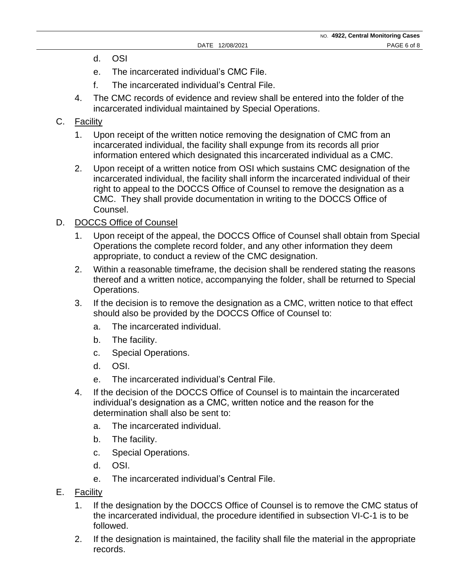- d. OSI
- e. The incarcerated individual's CMC File.
- f. The incarcerated individual's Central File.
- 4. The CMC records of evidence and review shall be entered into the folder of the incarcerated individual maintained by Special Operations.

### C. Facility

- 1. Upon receipt of the written notice removing the designation of CMC from an incarcerated individual, the facility shall expunge from its records all prior information entered which designated this incarcerated individual as a CMC.
- 2. Upon receipt of a written notice from OSI which sustains CMC designation of the incarcerated individual, the facility shall inform the incarcerated individual of their right to appeal to the DOCCS Office of Counsel to remove the designation as a CMC. They shall provide documentation in writing to the DOCCS Office of Counsel.

#### D. DOCCS Office of Counsel

- 1. Upon receipt of the appeal, the DOCCS Office of Counsel shall obtain from Special Operations the complete record folder, and any other information they deem appropriate, to conduct a review of the CMC designation.
- 2. Within a reasonable timeframe, the decision shall be rendered stating the reasons thereof and a written notice, accompanying the folder, shall be returned to Special Operations.
- 3. If the decision is to remove the designation as a CMC, written notice to that effect should also be provided by the DOCCS Office of Counsel to:
	- a. The incarcerated individual.
	- b. The facility.
	- c. Special Operations.
	- d. OSI.
	- e. The incarcerated individual's Central File.
- 4. If the decision of the DOCCS Office of Counsel is to maintain the incarcerated individual's designation as a CMC, written notice and the reason for the determination shall also be sent to:
	- a. The incarcerated individual.
	- b. The facility.
	- c. Special Operations.
	- d. OSI.
	- e. The incarcerated individual's Central File.
- E. Facility
	- 1. If the designation by the DOCCS Office of Counsel is to remove the CMC status of the incarcerated individual, the procedure identified in subsection VI-C-1 is to be followed.
	- 2. If the designation is maintained, the facility shall file the material in the appropriate records.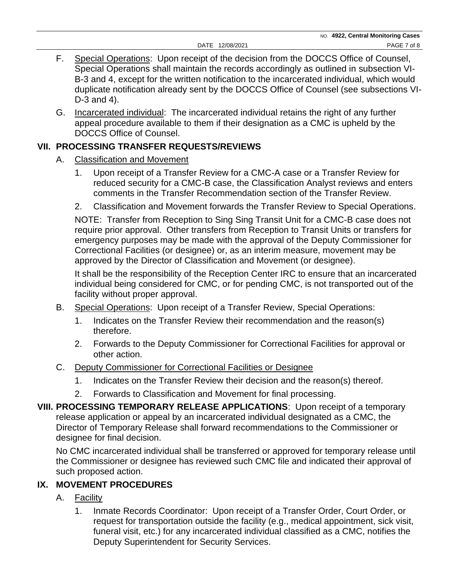- F. Special Operations: Upon receipt of the decision from the DOCCS Office of Counsel, Special Operations shall maintain the records accordingly as outlined in subsection VI-B-3 and 4, except for the written notification to the incarcerated individual, which would duplicate notification already sent by the DOCCS Office of Counsel (see subsections VI-D-3 and 4).
- G. Incarcerated individual: The incarcerated individual retains the right of any further appeal procedure available to them if their designation as a CMC is upheld by the DOCCS Office of Counsel.

# **VII. PROCESSING TRANSFER REQUESTS/REVIEWS**

- A. Classification and Movement
	- 1. Upon receipt of a Transfer Review for a CMC-A case or a Transfer Review for reduced security for a CMC-B case, the Classification Analyst reviews and enters comments in the Transfer Recommendation section of the Transfer Review.
	- 2. Classification and Movement forwards the Transfer Review to Special Operations.

NOTE: Transfer from Reception to Sing Sing Transit Unit for a CMC-B case does not require prior approval. Other transfers from Reception to Transit Units or transfers for emergency purposes may be made with the approval of the Deputy Commissioner for Correctional Facilities (or designee) or, as an interim measure, movement may be approved by the Director of Classification and Movement (or designee).

It shall be the responsibility of the Reception Center IRC to ensure that an incarcerated individual being considered for CMC, or for pending CMC, is not transported out of the facility without proper approval.

- B. Special Operations: Upon receipt of a Transfer Review, Special Operations:
	- 1. Indicates on the Transfer Review their recommendation and the reason(s) therefore.
	- 2. Forwards to the Deputy Commissioner for Correctional Facilities for approval or other action.

## C. Deputy Commissioner for Correctional Facilities or Designee

- 1. Indicates on the Transfer Review their decision and the reason(s) thereof.
- 2. Forwards to Classification and Movement for final processing.
- **VIII. PROCESSING TEMPORARY RELEASE APPLICATIONS**: Upon receipt of a temporary release application or appeal by an incarcerated ind**i**vidual designated as a CMC, the Director of Temporary Release shall forward recommendations to the Commissioner or designee for final decision.

No CMC incarcerated individual shall be transferred or approved for temporary release until the Commissioner or designee has reviewed such CMC file and indicated their approval of such proposed action.

# **IX. MOVEMENT PROCEDURES**

- A. Facility
	- 1. Inmate Records Coordinator: Upon receipt of a Transfer Order, Court Order, or request for transportation outside the facility (e.g., medical appointment, sick visit, funeral visit, etc.) for any incarcerated individual classified as a CMC, notifies the Deputy Superintendent for Security Services.